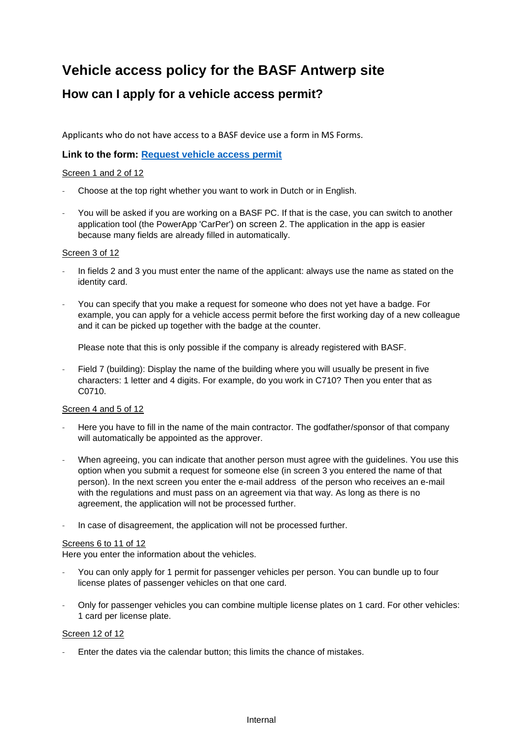# **Vehicle access policy for the BASF Antwerp site**

# **How can I apply for a vehicle access permit?**

Applicants who do not have access to a BASF device use a form in MS Forms.

#### **Link to the form: [Request vehicle access permit](https://forms.office.com/pages/responsepage.aspx?id=aziq7N_I4EytAXQMvbW6Vas4xEi1EYxIvWhRlylqtAZUQzlTMkM3WFVJT0xTVk1JM1dZWTgxSlkzQS4u)**

#### Screen 1 and 2 of 12

- Choose at the top right whether you want to work in Dutch or in English.
- You will be asked if you are working on a BASF PC. If that is the case, you can switch to another application tool (the PowerApp 'CarPer') on screen 2. The application in the app is easier because many fields are already filled in automatically.

#### Screen 3 of 12

- In fields 2 and 3 you must enter the name of the applicant: always use the name as stated on the identity card.
- You can specify that you make a request for someone who does not yet have a badge. For example, you can apply for a vehicle access permit before the first working day of a new colleague and it can be picked up together with the badge at the counter.

Please note that this is only possible if the company is already registered with BASF.

Field 7 (building): Display the name of the building where you will usually be present in five characters: 1 letter and 4 digits. For example, do you work in C710? Then you enter that as C0710.

#### Screen 4 and 5 of 12

- Here you have to fill in the name of the main contractor. The godfather/sponsor of that company will automatically be appointed as the approver.
- When agreeing, you can indicate that another person must agree with the guidelines. You use this option when you submit a request for someone else (in screen 3 you entered the name of that person). In the next screen you enter the e-mail address of the person who receives an e-mail with the regulations and must pass on an agreement via that way. As long as there is no agreement, the application will not be processed further.
- In case of disagreement, the application will not be processed further.

#### Screens 6 to 11 of 12

Here you enter the information about the vehicles.

- You can only apply for 1 permit for passenger vehicles per person. You can bundle up to four license plates of passenger vehicles on that one card.
- Only for passenger vehicles you can combine multiple license plates on 1 card. For other vehicles: 1 card per license plate.

#### Screen 12 of 12

Enter the dates via the calendar button; this limits the chance of mistakes.